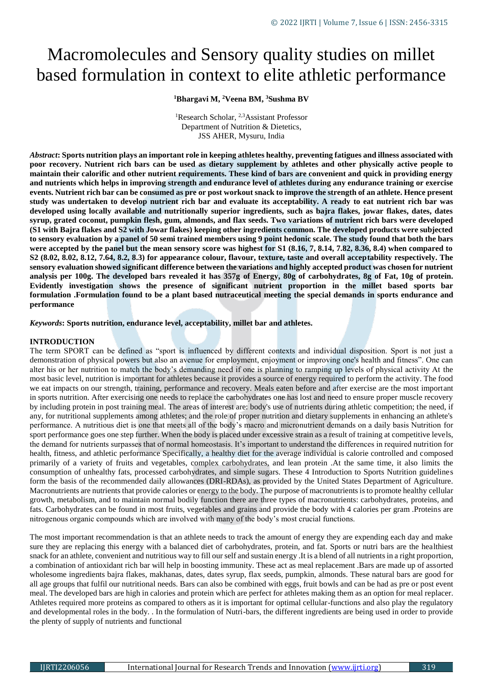# Macromolecules and Sensory quality studies on millet based formulation in context to elite athletic performance

#### **<sup>1</sup>Bhargavi M, <sup>2</sup>Veena BM, <sup>3</sup>Sushma BV**

<sup>1</sup>Research Scholar, <sup>2,3</sup>Assistant Professor Department of Nutrition & Dietetics, JSS AHER, Mysuru, India

*Abstract***: Sports nutrition plays an important role in keeping athletes healthy, preventing fatigues and illness associated with poor recovery. Nutrient rich bars can be used as dietary supplement by athletes and other physically active people to maintain their calorific and other nutrient requirements. These kind of bars are convenient and quick in providing energy and nutrients which helps in improving strength and endurance level of athletes during any endurance training or exercise events. Nutrient rich bar can be consumed as pre or post workout snack to improve the strength of an athlete. Hence present study was undertaken to develop nutrient rich bar and evaluate its acceptability. A ready to eat nutrient rich bar was developed using locally available and nutritionally superior ingredients, such as bajra flakes, jowar flakes, dates, dates syrup, grated coconut, pumpkin flesh, gum, almonds, and flax seeds. Two variations of nutrient rich bars were developed (S1 with Bajra flakes and S2 with Jowar flakes) keeping other ingredients common. The developed products were subjected to sensory evaluation by a panel of 50 semi trained members using 9 point hedonic scale. The study found that both the bars were accepted by the panel but the mean sensory score was highest for S1 (8.16, 7, 8.14, 7.82, 8.36, 8.4) when compared to S2 (8.02, 8.02, 8.12, 7.64, 8.2, 8.3) for appearance colour, flavour, texture, taste and overall acceptability respectively. The sensory evaluation showed significant difference between the variations and highly accepted product was chosen for nutrient analysis per 100g. The developed bars revealed it has 357g of Energy, 80g of carbohydrates, 8g of Fat, 10g of protein. Evidently investigation shows the presence of significant nutrient proportion in the millet based sports bar formulation .Formulation found to be a plant based nutraceutical meeting the special demands in sports endurance and performance**

#### *Keywords***: Sports nutrition, endurance level, acceptability, millet bar and athletes.**

#### **INTRODUCTION**

The term SPORT can be defined as "sport is influenced by different contexts and individual disposition. Sport is not just a demonstration of physical powers but also an avenue for employment, enjoyment or improving one's health and fitness". One can alter his or her nutrition to match the body's demanding need if one is planning to ramping up levels of physical activity At the most basic level, nutrition is important for athletes because it provides a source of energy required to perform the activity. The food we eat impacts on our strength, training, performance and recovery. Meals eaten before and after exercise are the most important in sports nutrition. After exercising one needs to replace the carbohydrates one has lost and need to ensure proper muscle recovery by including protein in post training meal. The areas of interest are: body's use of nutrients during athletic competition; the need, if any, for nutritional supplements among athletes; and the role of proper nutrition and dietary supplements in enhancing an athlete's performance. A nutritious diet is one that meets all of the body's macro and micronutrient demands on a daily basis Nutrition for sport performance goes one step further. When the body is placed under excessive strain as a result of training at competitive levels, the demand for nutrients surpasses that of normal homeostasis. It's important to understand the differences in required nutrition for health, fitness, and athletic performance Specifically, a healthy diet for the average individual is calorie controlled and composed primarily of a variety of fruits and vegetables, complex carbohydrates, and lean protein .At the same time, it also limits the consumption of unhealthy fats, processed carbohydrates, and simple sugars. These 4 Introduction to Sports Nutrition guidelines form the basis of the recommended daily allowances (DRI-RDAs), as provided by the United States Department of Agriculture. Macronutrients are nutrients that provide calories or energy to the body. The purpose of macronutrients is to promote healthy cellular growth, metabolism, and to maintain normal bodily function there are three types of macronutrients: carbohydrates, proteins, and fats. Carbohydrates can be found in most fruits, vegetables and grains and provide the body with 4 calories per gram .Proteins are nitrogenous organic compounds which are involved with many of the body's most crucial functions.

The most important recommendation is that an athlete needs to track the amount of energy they are expending each day and make sure they are replacing this energy with a balanced diet of carbohydrates, protein, and fat. Sports or nutri bars are the healthiest snack for an athlete, convenient and nutritious way to fill our self and sustain energy .It is a blend of all nutrients in a right proportion, a combination of antioxidant rich bar will help in boosting immunity. These act as meal replacement .Bars are made up of assorted wholesome ingredients bajra flakes, makhanas, dates, dates syrup, flax seeds, pumpkin, almonds. These natural bars are good for all age groups that fulfil our nutritional needs. Bars can also be combined with eggs, fruit bowls and can be had as pre or post event meal. The developed bars are high in calories and protein which are perfect for athletes making them as an option for meal replacer. Athletes required more proteins as compared to others as it is important for optimal cellular-functions and also play the regulatory and developmental roles in the body. . In the formulation of Nutri-bars, the different ingredients are being used in order to provide the plenty of supply of nutrients and functional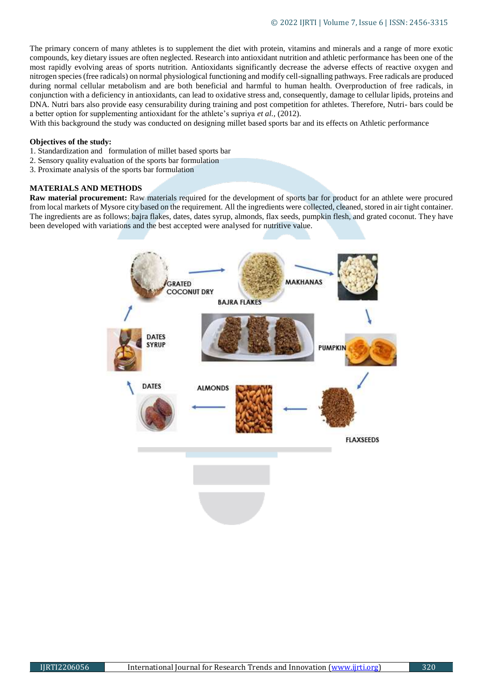The primary concern of many athletes is to supplement the diet with protein, vitamins and minerals and a range of more exotic compounds, key dietary issues are often neglected. Research into antioxidant nutrition and athletic performance has been one of the most rapidly evolving areas of sports nutrition. Antioxidants significantly decrease the adverse effects of reactive oxygen and nitrogen species (free radicals) on normal physiological functioning and modify cell-signalling pathways. Free radicals are produced during normal cellular metabolism and are both beneficial and harmful to human health. Overproduction of free radicals, in conjunction with a deficiency in antioxidants, can lead to oxidative stress and, consequently, damage to cellular lipids, proteins and DNA. Nutri bars also provide easy censurability during training and post competition for athletes. Therefore, Nutri- bars could be a better option for supplementing antioxidant for the athlete's supriya *et al.,* (2012).

With this background the study was conducted on designing millet based sports bar and its effects on Athletic performance

#### **Objectives of the study:**

- 1. Standardization and formulation of millet based sports bar
- 2. Sensory quality evaluation of the sports bar formulation
- 3. Proximate analysis of the sports bar formulation

#### **MATERIALS AND METHODS**

**Raw material procurement:** Raw materials required for the development of sports bar for product for an athlete were procured from local markets of Mysore city based on the requirement. All the ingredients were collected, cleaned, stored in air tight container. The ingredients are as follows: bajra flakes, dates, dates syrup, almonds, flax seeds, pumpkin flesh, and grated coconut. They have been developed with variations and the best accepted were analysed for nutritive value.

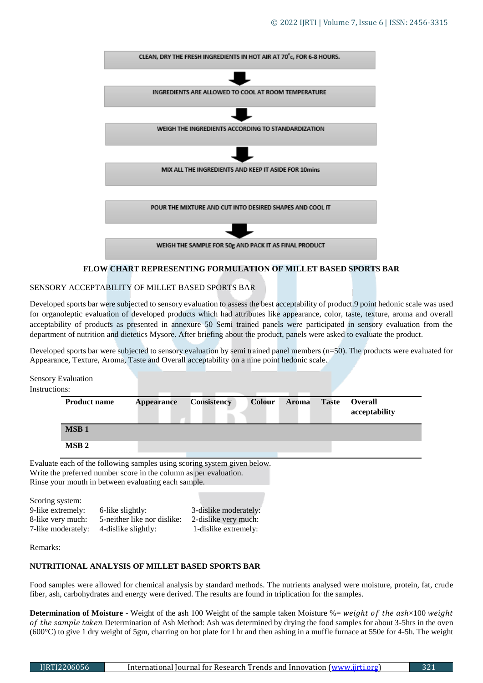

#### **FLOW CHART REPRESENTING FORMULATION OF MILLET BASED SPORTS BAR**

### SENSORY ACCEPTABILITY OF MILLET BASED SPORTS BAR

Developed sports bar were subjected to sensory evaluation to assess the best acceptability of product.9 point hedonic scale was used for organoleptic evaluation of developed products which had attributes like appearance, color, taste, texture, aroma and overall acceptability of products as presented in annexure 50 Semi trained panels were participated in sensory evaluation from the department of nutrition and dietetics Mysore. After briefing about the product, panels were asked to evaluate the product.

Developed sports bar were subjected to sensory evaluation by semi trained panel members (n=50). The products were evaluated for Appearance, Texture, Aroma, Taste and Overall acceptability on a nine point hedonic scale.

Sensory Evaluation Instructions: Evaluate each of the following samples using scoring system given below. **Product name Appearance Consistency Colour Aroma Taste Overall acceptability MSB 1 MSB 2**

Write the preferred number score in the column as per evaluation. Rinse your mouth in between evaluating each sample.

Scoring system: 9-like extremely: 6-like slightly: 3-dislike moderately: 8-like very much: 5-neither like nor dislike: 2-dislike very much: 7-like moderately: 4-dislike slightly: 1-dislike extremely:

Remarks:

#### **NUTRITIONAL ANALYSIS OF MILLET BASED SPORTS BAR**

Food samples were allowed for chemical analysis by standard methods. The nutrients analysed were moisture, protein, fat, crude fiber, ash, carbohydrates and energy were derived. The results are found in triplication for the samples.

**Determination of Moisture** - Weight of the ash 100 Weight of the sample taken Moisture %= weight of the ash×100 weight of the sample taken Determination of Ash Method: Ash was determined by drying the food samples for about 3-5hrs in the oven (600°C) to give 1 dry weight of 5gm, charring on hot plate for I hr and then ashing in a muffle furnace at 550e for 4-5h. The weight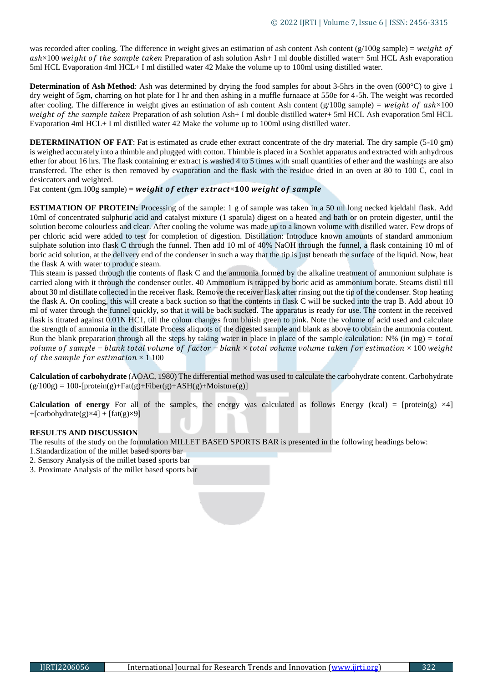was recorded after cooling. The difference in weight gives an estimation of ash content Ash content (g/100g sample) = weight of  $ash \times 100$  weight of the sample taken Preparation of ash solution Ash + I ml double distilled water + 5ml HCL Ash evaporation 5ml HCL Evaporation 4ml HCL+ I ml distilled water 42 Make the volume up to 100ml using distilled water.

**Determination of Ash Method**: Ash was determined by drying the food samples for about 3-5hrs in the oven (600°C) to give 1 dry weight of 5gm, charring on hot plate for I hr and then ashing in a muffle furnaace at 550e for 4-5h. The weight was recorded after cooling. The difference in weight gives an estimation of ash content Ash content ( $g/100g$  sample) = weight of  $a sh \times 100$ weight of the sample taken Preparation of ash solution Ash+ I ml double distilled water+ 5ml HCL Ash evaporation 5ml HCL Evaporation 4ml HCL+ I ml distilled water 42 Make the volume up to 100ml using distilled water.

**DETERMINATION OF FAT**: Fat is estimated as crude ether extract concentrate of the dry material. The dry sample (5-10 gm) is weighed accurately into a thimble and plugged with cotton. Thimble is placed in a Soxhlet apparatus and extracted with anhydrous ether for about 16 hrs. The flask containing er extract is washed 4 to 5 times with small quantities of ether and the washings are also transferred. The ether is then removed by evaporation and the flask with the residue dried in an oven at 80 to 100 C, cool in desiccators and weighted.

Fat content (gm.100g sample) = weight of ether extract×100 weight of sample

**ESTIMATION OF PROTEIN:** Processing of the sample: 1 g of sample was taken in a 50 ml long necked kjeldahl flask. Add 10ml of concentrated sulphuric acid and catalyst mixture (1 spatula) digest on a heated and bath or on protein digester, until the solution become colourless and clear. After cooling the volume was made up to a known volume with distilled water. Few drops of per chloric acid were added to test for completion of digestion. Distillation: Introduce known amounts of standard ammonium sulphate solution into flask C through the funnel. Then add 10 ml of 40% NaOH through the funnel, a flask containing 10 ml of boric acid solution, at the delivery end of the condenser in such a way that the tip is just beneath the surface of the liquid. Now, heat the flask A with water to produce steam.

This steam is passed through the contents of flask C and the ammonia formed by the alkaline treatment of ammonium sulphate is carried along with it through the condenser outlet. 40 Ammonium is trapped by boric acid as ammonium borate. Steams distil till about 30 ml distillate collected in the receiver flask. Remove the receiver flask after rinsing out the tip of the condenser. Stop heating the flask A. On cooling, this will create a back suction so that the contents in flask C will be sucked into the trap B. Add about 10 ml of water through the funnel quickly, so that it will be back sucked. The apparatus is ready for use. The content in the received flask is titrated against 0.01N HC1, till the colour changes from bluish green to pink. Note the volume of acid used and calculate the strength of ammonia in the distillate Process aliquots of the digested sample and blank as above to obtain the ammonia content. Run the blank preparation through all the steps by taking water in place in place of the sample calculation:  $N\%$  (in mg) = total volume of sample – blank total volume of factor – blank  $\times$  total volume volume taken for estimation  $\times$  100 weight of the sample for estimation  $\times$  1 100

**Calculation of carbohydrate** (AOAC, 1980) The differential method was used to calculate the carbohydrate content. Carbohydrate  $(g/100g) = 100$ -[protein(g)+Fat(g)+Fiber(g)+ASH(g)+Moisture(g)]

**Calculation of energy** For all of the samples, the energy was calculated as follows Energy (kcal) =  $[protein(g) \times 4]$ +[carbohydrate(g) $\times$ 4] + [fat(g) $\times$ 9]

#### **RESULTS AND DISCUSSION**

The results of the study on the formulation MILLET BASED SPORTS BAR is presented in the following headings below:

1.Standardization of the millet based sports bar

- 2. Sensory Analysis of the millet based sports bar
- 3. Proximate Analysis of the millet based sports bar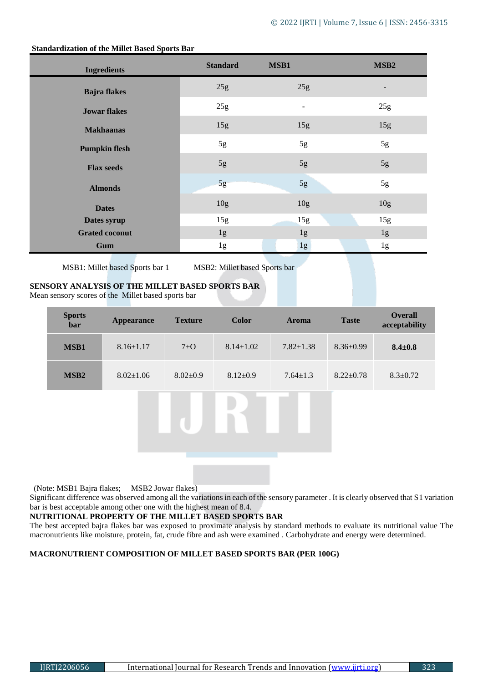| <b>Ingredients</b>    | <b>Standard</b> | MSB1            | MSB <sub>2</sub> |
|-----------------------|-----------------|-----------------|------------------|
| <b>Bajra</b> flakes   | 25g             | 25g             |                  |
| <b>Jowar flakes</b>   | 25g             |                 | 25g              |
| <b>Makhaanas</b>      | 15g             | 15g             | 15g              |
| <b>Pumpkin flesh</b>  | 5g              | 5g              | 5g               |
| <b>Flax seeds</b>     | $5g$            | 5g              | 5g               |
| <b>Almonds</b>        | 5g              | 5g              | 5g               |
| <b>Dates</b>          | 10 <sub>g</sub> | 10 <sub>g</sub> | 10 <sub>g</sub>  |
| Dates syrup           | 15g             | 15g             | 15g              |
| <b>Grated coconut</b> | 1g              | 1g              | 1g               |
| Gum                   | 1g              | 1g              | 1g               |

#### **Standardization of the Millet Based Sports Bar**

MSB1: Millet based Sports bar 1 MSB2: Millet based Sports bar

# **SENSORY ANALYSIS OF THE MILLET BASED SPORTS BAR**

Mean sensory scores of the Millet based sports bar

| <b>Sports</b><br>bar | <b>Appearance</b> | <b>Texture</b> | <b>Color</b>    | <b>Aroma</b>    | <b>Taste</b>    | <b>Overall</b><br>acceptability |
|----------------------|-------------------|----------------|-----------------|-----------------|-----------------|---------------------------------|
| MSB1                 | $8.16 \pm 1.17$   | $7\pm$ O       | $8.14 \pm 1.02$ | $7.82 \pm 1.38$ | $8.36 \pm 0.99$ | $8.4 \pm 0.8$                   |
| MSB <sub>2</sub>     | $8.02 \pm 1.06$   | $8.02 \pm 0.9$ | $8.12 \pm 0.9$  | $7.64 \pm 1.3$  | $8.22 \pm 0.78$ | $8.3 \pm 0.72$                  |
|                      |                   |                |                 |                 |                 |                                 |
|                      |                   |                |                 |                 |                 |                                 |

(Note: MSB1 Bajra flakes; MSB2 Jowar flakes)

Significant difference was observed among all the variations in each of the sensory parameter . It is clearly observed that S1 variation bar is best acceptable among other one with the highest mean of 8.4.

# **NUTRITIONAL PROPERTY OF THE MILLET BASED SPORTS BAR**

The best accepted bajra flakes bar was exposed to proximate analysis by standard methods to evaluate its nutritional value The macronutrients like moisture, protein, fat, crude fibre and ash were examined . Carbohydrate and energy were determined.

# **MACRONUTRIENT COMPOSITION OF MILLET BASED SPORTS BAR (PER 100G)**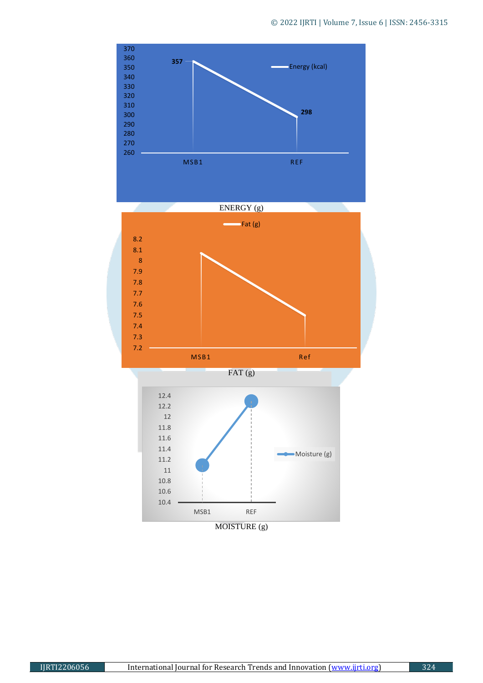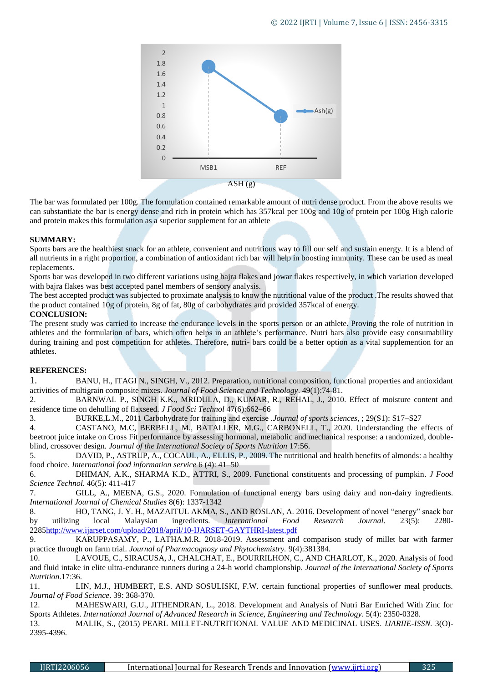

The bar was formulated per 100g. The formulation contained remarkable amount of nutri dense product. From the above results we can substantiate the bar is energy dense and rich in protein which has 357kcal per 100g and 10g of protein per 100g High calorie and protein makes this formulation as a superior supplement for an athlete

#### **SUMMARY:**

Sports bars are the healthiest snack for an athlete, convenient and nutritious way to fill our self and sustain energy. It is a blend of all nutrients in a right proportion, a combination of antioxidant rich bar will help in boosting immunity. These can be used as meal replacements.

Sports bar was developed in two different variations using bajra flakes and jowar flakes respectively, in which variation developed with bajra flakes was best accepted panel members of sensory analysis.

The best accepted product was subjected to proximate analysis to know the nutritional value of the product .The results showed that the product contained 10g of protein, 8g of fat, 80g of carbohydrates and provided 357kcal of energy.

#### **CONCLUSION:**

The present study was carried to increase the endurance levels in the sports person or an athlete. Proving the role of nutrition in athletes and the formulation of bars, which often helps in an athlete's performance. Nutri bars also provide easy consumability during training and post competition for athletes. Therefore, nutri- bars could be a better option as a vital supplemention for an athletes.

# **REFERENCES:**

1. BANU, H., ITAGI N., SINGH, V., 2012. Preparation, nutritional composition, functional properties and antioxidant activities of multigrain composite mixes. *Journal of Food Science and Technology*. 49(1):74-81.

2. BARNWAL P., SINGH K.K., MRIDULA, D., KUMAR, R., REHAL, J., 2010. Effect of moisture content and residence time on dehulling of flaxseed*. J Food Sci Technol* 47(6):662–66

3. BURKE,L.M., 2011 Carbohydrate for training and exercise .*Journal of sports sciences*, ; 29(S1): S17–S27

4. CASTANO, M.C, BERBELL, M., BATALLER, M.G., CARBONELL, T., 2020. Understanding the effects of beetroot juice intake on Cross Fit performance by assessing hormonal, metabolic and mechanical response: a randomized, doubleblind, crossover design. *Journal of the International Society of Sports Nutrition* 17:56.

5. DAVID, P., ASTRUP, A., COCAUL, A., ELLIS, P., 2009. The nutritional and health benefits of almonds: a healthy food choice. *International food information service* 6 (4): 41–50

6. DHIMAN, A.K., SHARMA K.D., ATTRI, S., 2009. Functional constituents and processing of pumpkin*. J Food Science Technol*. 46(5): 411-417

7. GILL, A., MEENA, G.S., 2020. Formulation of functional energy bars using dairy and non-dairy ingredients. *International Journal of Chemical Studies* 8(6): 1337-1342

8. HO, TANG, J. Y. H., MAZAITUL AKMA, S., AND ROSLAN, A. 2016. Development of novel "energy" snack bar by utilizing local Malaysian ingredients. *International Food Research Journal.* 23(5): 2280- 228[5http://www.ijarset.com/upload/2018/april/10-IJARSET-GAYTHRI-latest.pdf](http://www.ijarset.com/upload/2018/april/10-IJARSET-GAYTHRI-latest.pdf)

9. KARUPPASAMY, P., LATHA.M.R. 2018-2019. Assessment and comparison study of millet bar with farmer practice through on farm trial. *Journal of Pharmacognosy and Phytochemistry.* 9(4):381384.

10. LAVOUE, C., SIRACUSA, J., CHALCHAT, E., BOURRILHON, C., AND CHARLOT, K., 2020. Analysis of food and fluid intake in elite ultra-endurance runners during a 24-h world championship. *Journal of the International Society of Sports Nutrition*.17:36.

11. LIN, M.J., HUMBERT, E.S. AND SOSULISKI, F.W. certain functional properties of sunflower meal products. *Journal of Food Science*. 39: 368-370.

12. MAHESWARI, G.U., JITHENDRAN, L., 2018. Development and Analysis of Nutri Bar Enriched With Zinc for Sports Athletes. *International Journal of Advanced Research in Science, Engineering and Technology*. 5(4): 2350-0328.

13. MALIK, S., (2015) PEARL MILLET-NUTRITIONAL VALUE AND MEDICINAL USES*. IJARIIE-ISSN.* 3(O)- 2395-4396.